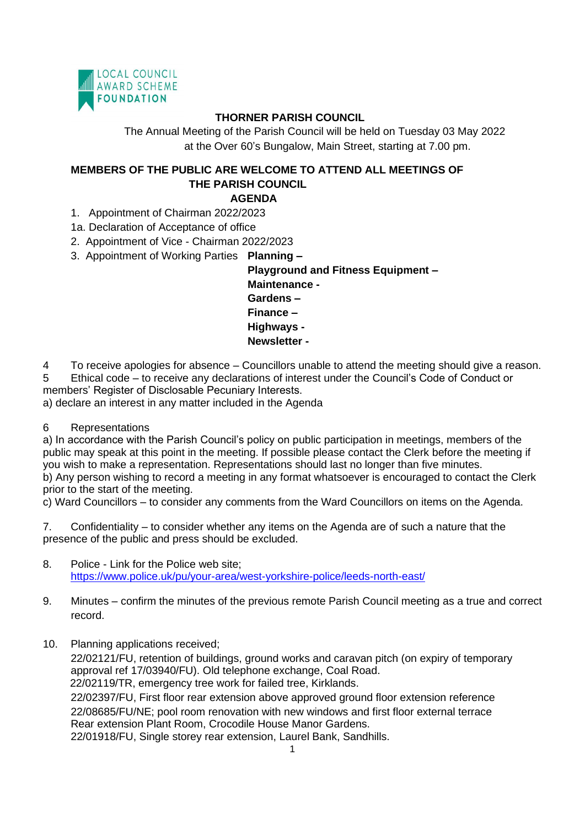

## **THORNER PARISH COUNCIL**

The Annual Meeting of the Parish Council will be held on Tuesday 03 May 2022 at the Over 60's Bungalow, Main Street, starting at 7.00 pm.

## **MEMBERS OF THE PUBLIC ARE WELCOME TO ATTEND ALL MEETINGS OF THE PARISH COUNCIL AGENDA**

- 1. Appointment of Chairman 2022/2023
- 1a. Declaration of Acceptance of office
- 2. Appointment of Vice Chairman 2022/2023
- 3. Appointment of Working Parties **Planning**

**Playground and Fitness Equipment – Maintenance - Gardens – Finance – Highways - Newsletter -**

4 To receive apologies for absence – Councillors unable to attend the meeting should give a reason. 5 Ethical code – to receive any declarations of interest under the Council's Code of Conduct or members' Register of Disclosable Pecuniary Interests.

a) declare an interest in any matter included in the Agenda

## 6 Representations

a) In accordance with the Parish Council's policy on public participation in meetings, members of the public may speak at this point in the meeting. If possible please contact the Clerk before the meeting if you wish to make a representation. Representations should last no longer than five minutes. b) Any person wishing to record a meeting in any format whatsoever is encouraged to contact the Clerk prior to the start of the meeting.

c) Ward Councillors – to consider any comments from the Ward Councillors on items on the Agenda.

7. Confidentiality – to consider whether any items on the Agenda are of such a nature that the presence of the public and press should be excluded.

- 8. Police Link for the Police web site; <https://www.police.uk/pu/your-area/west-yorkshire-police/leeds-north-east/>
- 9. Minutes confirm the minutes of the previous remote Parish Council meeting as a true and correct record.
- 10. Planning applications received;

22/02121/FU, retention of buildings, ground works and caravan pitch (on expiry of temporary approval ref 17/03940/FU). Old telephone exchange, Coal Road. 22/02119/TR, emergency tree work for failed tree, Kirklands. 22/02397/FU, First floor rear extension above approved ground floor extension reference 22/08685/FU/NE; pool room renovation with new windows and first floor external terrace Rear extension Plant Room, Crocodile House Manor Gardens. 22/01918/FU, Single storey rear extension, Laurel Bank, Sandhills.